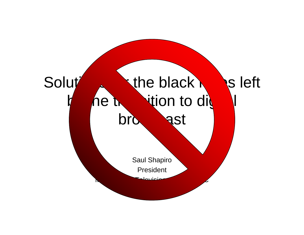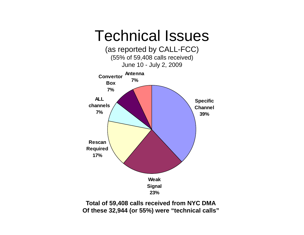

**Total of 59,408 calls received from NYC DMA Of these 32,944 (or 55%) were "technical calls"**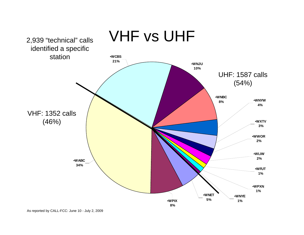

As reported by CALL-FCC: June 10 - July 2, 2009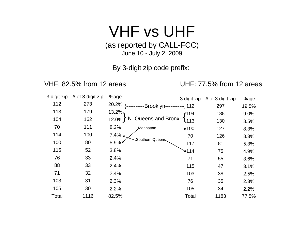## VHF vs UHF

(as reported by CALL-FCC) June 10 - July 2, 2009

By 3-digit zip code prefix:

VHF: 82.5% from 12 areas UHF: 77.5% from 12 areas

|       | 3 digit zip $\#$ of 3 digit zip | %age     | 3 digit zip                                     | $#$ of 3 digit zip | %age  |
|-------|---------------------------------|----------|-------------------------------------------------|--------------------|-------|
| 112   | 273                             |          | 20.2% }----------Brooklyn----------{ 112        | 297                | 19.5% |
| 113   | 179                             | $13.2\%$ |                                                 | 138                | 9.0%  |
| 104   | 162                             |          | $\{13.2\% \}$ -N. Queens and Bronx-- $\{104 \}$ | 130                | 8.5%  |
| 70    | 111                             | 8.2%     | Manhattan<br>$+100$                             | 127                | 8.3%  |
| 114   | 100                             | $7.4\%$  | 70                                              | 126                | 8.3%  |
| 100   | 80                              | 5.9%     | Southern Queens<br>117                          | 81                 | 5.3%  |
| 115   | 52                              | 3.8%     | $\blacktriangle$ 114                            | 75                 | 4.9%  |
| 76    | 33                              | 2.4%     | 71                                              | 55                 | 3.6%  |
| 88    | 33                              | 2.4%     | 115                                             | 47                 | 3.1%  |
| 71    | 32                              | 2.4%     | 103                                             | 38                 | 2.5%  |
| 103   | 31                              | 2.3%     | 76                                              | 35                 | 2.3%  |
| 105   | 30                              | 2.2%     | 105                                             | 34                 | 2.2%  |
| Total | 1116                            | 82.5%    | Total                                           | 1183               | 77.5% |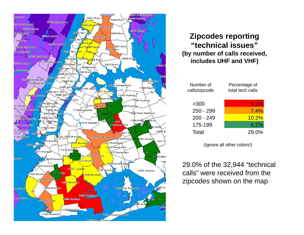

## **Zipcodes reporting "t h i l i " "tec nical issues (by number of calls received, includes UHF and VHF)**

| Number of<br>calls/zipcode | Percentage of<br>total tech calls |  |
|----------------------------|-----------------------------------|--|
| 5300                       | 5.2%                              |  |
| $250 - 299$                | 7.4%                              |  |
| $200 - 249$                | 10.2%                             |  |
| 175-199                    | 6.2%                              |  |
| Total                      | 29.0%                             |  |

(Ignore all other colors!)

29.0% of the 32,944 "technical calls" were received from the zipcodes shown on the map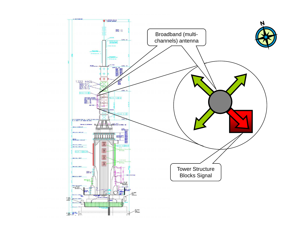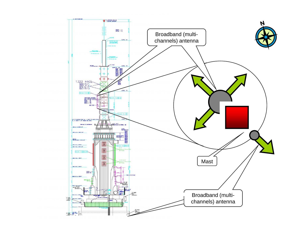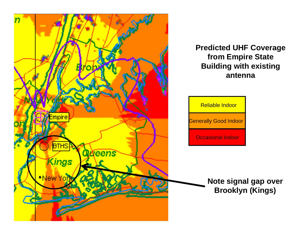